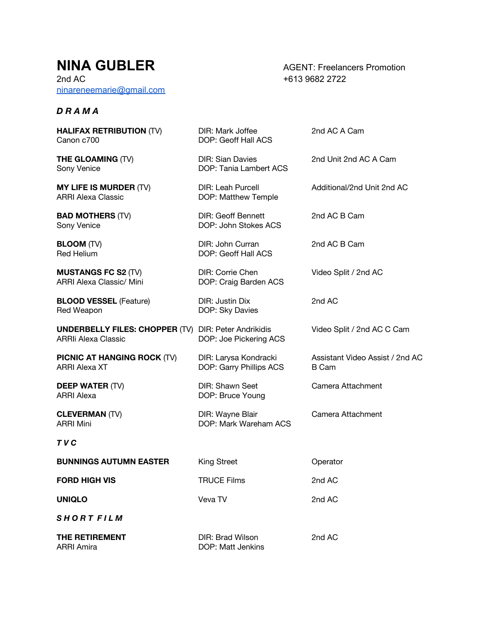# **NINA GUBLER** AGENT: Freelancers Promotion

2nd AC +613 9682 2722 [ninareneemarie@gmail.com](mailto:ninareneemarie@gmail.com)

### *D R A M A*

**HALIFAX RETRIBUTION** (TV) DIR: Mark Joffee 2nd AC A Cam Canon c700 DOP: Geoff Hall ACS

Sony Venice **DOP:** Tania Lambert ACS

**MY LIFE IS MURDER** (TV) DIR: Leah Purcell **Additional/2nd Unit 2nd AC**<br>ARRI Alexa Classic **DOP: Matthew Temple** 

**BAD MOTHERS** (TV) DIR: Geoff Bennett 2nd AC B Cam<br>
Sony Venice **DOP: John Stokes ACS** 

Red Helium DOP: Geoff Hall ACS

**MUSTANGS FC S2** (TV) DIR: Corrie Chen Video Split / 2nd AC<br>ARRI Alexa Classic/ Mini DOP: Craig Barden ACS

**BLOOD VESSEL** (Feature) DIR: Justin Dix 2nd AC Red Weapon DOP: Sky Davies

**UNDERBELLY FILES: CHOPPER** (TV) DIR: Peter Andrikidis Video Split / 2nd AC C Cam<br>ARRII Alexa Classic DOP: Joe Pickering ACS

**PICNIC AT HANGING ROCK** (TV) DIR: Larysa Kondracki Assistant Video Assist / 2nd AC ARRI Alexa XT **DOP:** Garry Phillips ACS B Cam

**DEEP WATER** (TV) DIR: Shawn Seet Camera Attachment ARRI Alexa DOP: Bruce Young

ARRI Mini DOP: Mark Wareham ACS

### *T V C*

| <b>BUNNINGS AUTUMN EASTER</b> | <b>King Street</b> | Operator |
|-------------------------------|--------------------|----------|
| <b>FORD HIGH VIS</b>          | <b>TRUCE Films</b> | 2nd AC   |
| <b>UNIQLO</b>                 | Veva TV            | 2nd AC   |
| <b>SHORT FILM</b>             |                    |          |

DOP: Matthew Temple

DOP: John Stokes ACS

DOP: Craig Barden ACS

DOP: Joe Pickering ACS

| THE RETIREMENT | DIR: Brad Wilson  | 2nd AC |
|----------------|-------------------|--------|
| ARRI Amira     | DOP: Matt Jenkins |        |

**THE GLOAMING** (TV) **DIR: Sian Davies** 2nd Unit 2nd AC A Cam

**BLOOM** (TV) **DIR:** John Curran 2nd AC B Cam

**CLEVERMAN** (TV) **DIR:** Wayne Blair Camera Attachment